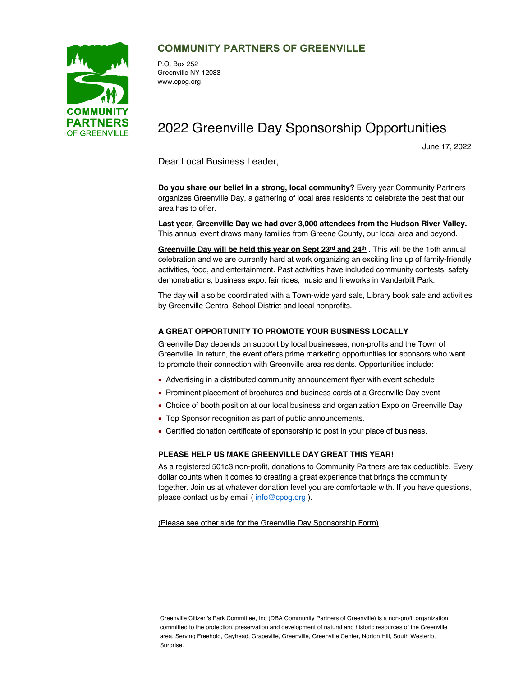

### **COMMUNITY PARTNERS OF GREENVILLE**

P.O. Box 252 Greenville NY 12083 www.cpog.org

# 2022 Greenville Day Sponsorship Opportunities

June 17, 2022

Dear Local Business Leader,

**Do you share our belief in a strong, local community?** Every year Community Partners organizes Greenville Day, a gathering of local area residents to celebrate the best that our area has to offer.

**Last year, Greenville Day we had over 3,000 attendees from the Hudson River Valley.**  This annual event draws many families from Greene County, our local area and beyond.

Greenville Day will be held this year on Sept 23<sup>rd</sup> and 24th . This will be the 15th annual celebration and we are currently hard at work organizing an exciting line up of family-friendly activities, food, and entertainment. Past activities have included community contests, safety demonstrations, business expo, fair rides, music and fireworks in Vanderbilt Park.

The day will also be coordinated with a Town-wide yard sale, Library book sale and activities by Greenville Central School District and local nonprofits.

#### **A GREAT OPPORTUNITY TO PROMOTE YOUR BUSINESS LOCALLY**

Greenville Day depends on support by local businesses, non-profits and the Town of Greenville. In return, the event offers prime marketing opportunities for sponsors who want to promote their connection with Greenville area residents. Opportunities include:

- Advertising in a distributed community announcement flyer with event schedule
- Prominent placement of brochures and business cards at a Greenville Day event
- Choice of booth position at our local business and organization Expo on Greenville Day
- Top Sponsor recognition as part of public announcements.
- Certified donation certificate of sponsorship to post in your place of business.

#### **PLEASE HELP US MAKE GREENVILLE DAY GREAT THIS YEAR!**

As a registered 501c3 non-profit, donations to Community Partners are tax deductible. Every dollar counts when it comes to creating a great experience that brings the community together. Join us at whatever donation level you are comfortable with. If you have questions, please contact us by email (info@cpog.org).

(Please see other side for the Greenville Day Sponsorship Form)

Greenville Citizen's Park Committee, Inc (DBA Community Partners of Greenville) is a non-profit organization committed to the protection, preservation and development of natural and historic resources of the Greenville area. Serving Freehold, Gayhead, Grapeville, Greenville, Greenville Center, Norton Hill, South Westerlo, Surprise.